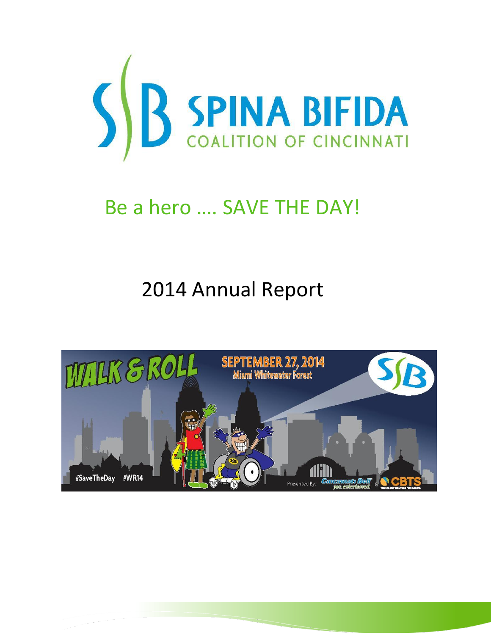

# Be a hero …. SAVE THE DAY!

# 2014 Annual Report

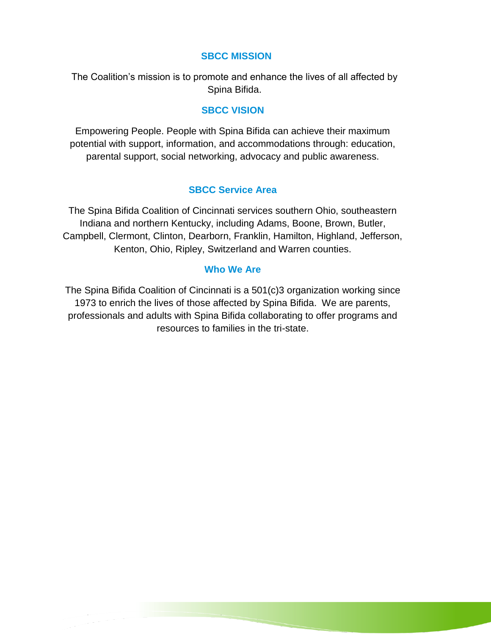### **SBCC MISSION**

The Coalition's mission is to promote and enhance the lives of all affected by Spina Bifida.

## **SBCC VISION**

Empowering People. People with Spina Bifida can achieve their maximum potential with support, information, and accommodations through: education, parental support, social networking, advocacy and public awareness.

## **SBCC Service Area**

The Spina Bifida Coalition of Cincinnati services southern Ohio, southeastern Indiana and northern Kentucky, including Adams, Boone, Brown, Butler, Campbell, Clermont, Clinton, Dearborn, Franklin, Hamilton, Highland, Jefferson, Kenton, Ohio, Ripley, Switzerland and Warren counties.

#### **Who We Are**

The Spina Bifida Coalition of Cincinnati is a 501(c)3 organization working since 1973 to enrich the lives of those affected by Spina Bifida. We are parents, professionals and adults with Spina Bifida collaborating to offer programs and resources to families in the tri-state.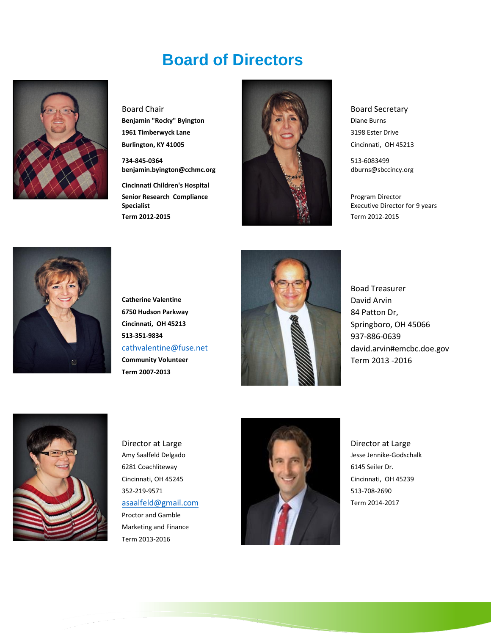## **Board of Directors**



**734-845-0364 benjamin.byington@cchmc.org**

**Cincinnati Children's Hospital Senior Research Compliance Specialist**



513-6083499 dburns@sbccincy.org

Program Director Executive Director for 9 years



**Term 2007-2013**



Boad Treasurer



Proctor and Gamble Marketing and Finance Term 2013-2016

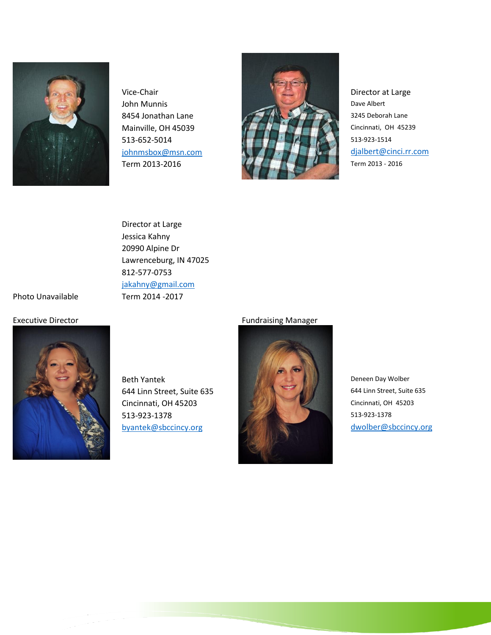



Director at Large Jessica Kahny 20990 Alpine Dr Lawrenceburg, IN 47025 812-577-0753 [jakahny@gmail.com](mailto:jakahny@gmail.com) Photo Unavailable Term 2014 -2017



Beth Yantek Deneen Day Wolber 644 Linn Street, Suite 635 644 Linn Street, Suite 635 Cincinnati, OH 45203 Cincinnati, OH 45203 513-923-1378 513-923-1378

#### Executive Director **Fundraising Manager** Fundraising Manager

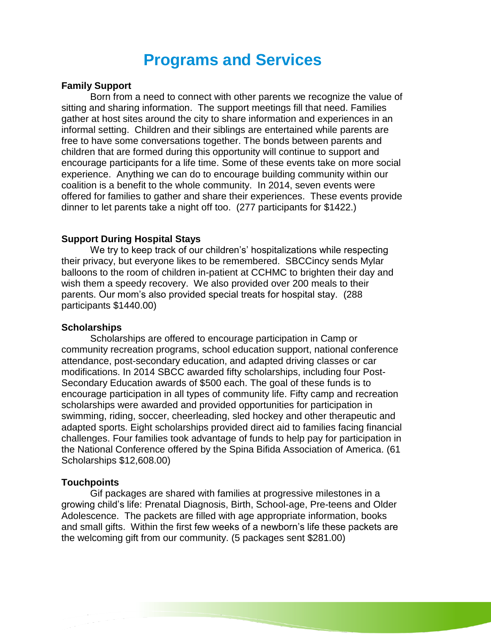## **Programs and Services**

#### **Family Support**

Born from a need to connect with other parents we recognize the value of sitting and sharing information. The support meetings fill that need. Families gather at host sites around the city to share information and experiences in an informal setting. Children and their siblings are entertained while parents are free to have some conversations together. The bonds between parents and children that are formed during this opportunity will continue to support and encourage participants for a life time. Some of these events take on more social experience. Anything we can do to encourage building community within our coalition is a benefit to the whole community. In 2014, seven events were offered for families to gather and share their experiences. These events provide dinner to let parents take a night off too. (277 participants for \$1422.)

#### **Support During Hospital Stays**

We try to keep track of our children's' hospitalizations while respecting their privacy, but everyone likes to be remembered. SBCCincy sends Mylar balloons to the room of children in-patient at CCHMC to brighten their day and wish them a speedy recovery. We also provided over 200 meals to their parents. Our mom's also provided special treats for hospital stay. (288 participants \$1440.00)

#### **Scholarships**

Scholarships are offered to encourage participation in Camp or community recreation programs, school education support, national conference attendance, post-secondary education, and adapted driving classes or car modifications. In 2014 SBCC awarded fifty scholarships, including four Post-Secondary Education awards of \$500 each. The goal of these funds is to encourage participation in all types of community life. Fifty camp and recreation scholarships were awarded and provided opportunities for participation in swimming, riding, soccer, cheerleading, sled hockey and other therapeutic and adapted sports. Eight scholarships provided direct aid to families facing financial challenges. Four families took advantage of funds to help pay for participation in the National Conference offered by the Spina Bifida Association of America. (61 Scholarships \$12,608.00)

#### **Touchpoints**

Gif packages are shared with families at progressive milestones in a growing child's life: Prenatal Diagnosis, Birth, School-age, Pre-teens and Older Adolescence. The packets are filled with age appropriate information, books and small gifts. Within the first few weeks of a newborn's life these packets are the welcoming gift from our community. (5 packages sent \$281.00)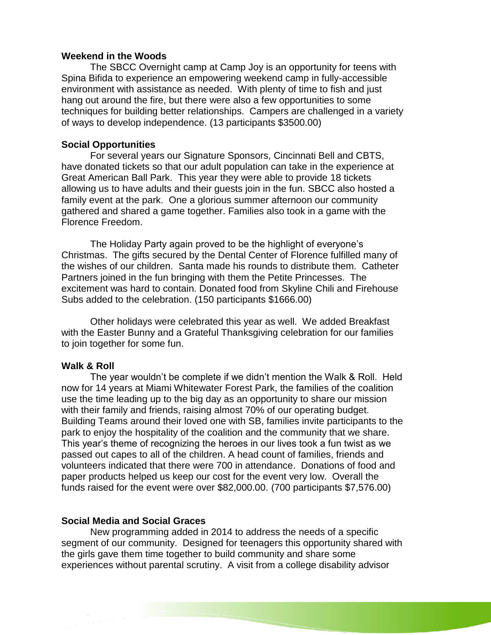#### **Weekend in the Woods**

The SBCC Overnight camp at Camp Joy is an opportunity for teens with Spina Bifida to experience an empowering weekend camp in fully-accessible environment with assistance as needed. With plenty of time to fish and just hang out around the fire, but there were also a few opportunities to some techniques for building better relationships. Campers are challenged in a variety of ways to develop independence. (13 participants \$3500.00)

#### **Social Opportunities**

For several years our Signature Sponsors, Cincinnati Bell and CBTS, have donated tickets so that our adult population can take in the experience at Great American Ball Park. This year they were able to provide 18 tickets allowing us to have adults and their guests join in the fun. SBCC also hosted a family event at the park. One a glorious summer afternoon our community gathered and shared a game together. Families also took in a game with the Florence Freedom.

The Holiday Party again proved to be the highlight of everyone's Christmas. The gifts secured by the Dental Center of Florence fulfilled many of the wishes of our children. Santa made his rounds to distribute them. Catheter Partners joined in the fun bringing with them the Petite Princesses. The excitement was hard to contain. Donated food from Skyline Chili and Firehouse Subs added to the celebration. (150 participants \$1666.00)

Other holidays were celebrated this year as well. We added Breakfast with the Easter Bunny and a Grateful Thanksgiving celebration for our families to join together for some fun.

#### **Walk & Roll**

The year wouldn't be complete if we didn't mention the Walk & Roll. Held now for 14 years at Miami Whitewater Forest Park, the families of the coalition use the time leading up to the big day as an opportunity to share our mission with their family and friends, raising almost 70% of our operating budget. Building Teams around their loved one with SB, families invite participants to the park to enjoy the hospitality of the coalition and the community that we share. This year's theme of recognizing the heroes in our lives took a fun twist as we passed out capes to all of the children. A head count of families, friends and volunteers indicated that there were 700 in attendance. Donations of food and paper products helped us keep our cost for the event very low. Overall the funds raised for the event were over \$82,000.00. (700 participants \$7,576.00)

#### **Social Media and Social Graces**

New programming added in 2014 to address the needs of a specific segment of our community. Designed for teenagers this opportunity shared with the girls gave them time together to build community and share some experiences without parental scrutiny. A visit from a college disability advisor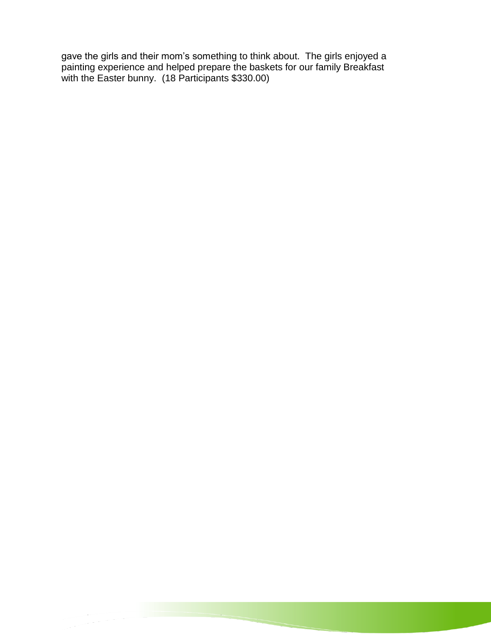gave the girls and their mom's something to think about. The girls enjoyed a painting experience and helped prepare the baskets for our family Breakfast with the Easter bunny. (18 Participants \$330.00)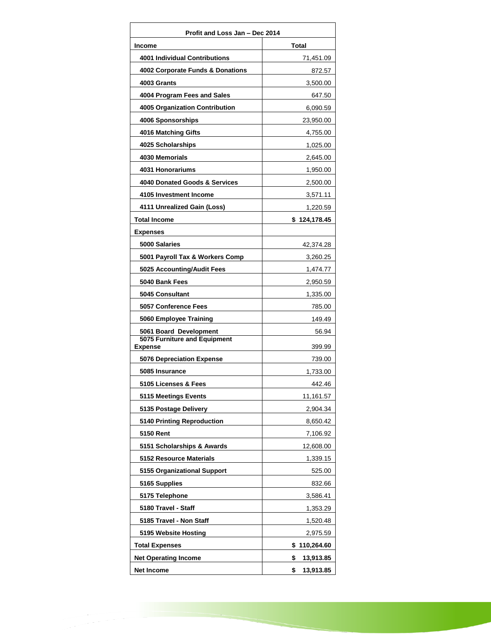| Profit and Loss Jan - Dec 2014                 |                  |
|------------------------------------------------|------------------|
| Income                                         | <b>Total</b>     |
| <b>4001 Individual Contributions</b>           | 71,451.09        |
| 4002 Corporate Funds & Donations               | 872.57           |
| 4003 Grants                                    | 3,500.00         |
| 4004 Program Fees and Sales                    | 647.50           |
| 4005 Organization Contribution                 | 6,090.59         |
| 4006 Sponsorships                              | 23,950.00        |
| 4016 Matching Gifts                            | 4,755.00         |
| 4025 Scholarships                              | 1,025.00         |
| 4030 Memorials                                 | 2,645.00         |
| 4031 Honorariums                               | 1,950.00         |
| 4040 Donated Goods & Services                  | 2,500.00         |
| 4105 Investment Income                         | 3,571.11         |
| 4111 Unrealized Gain (Loss)                    | 1,220.59         |
| <b>Total Income</b>                            | \$124,178.45     |
| <b>Expenses</b>                                |                  |
| 5000 Salaries                                  | 42,374.28        |
| 5001 Payroll Tax & Workers Comp                | 3,260.25         |
| 5025 Accounting/Audit Fees                     | 1,474.77         |
| 5040 Bank Fees                                 | 2,950.59         |
| 5045 Consultant                                | 1,335.00         |
| 5057 Conference Fees                           | 785.00           |
| 5060 Employee Training                         | 149.49           |
| 5061 Board Development                         | 56.94            |
| 5075 Furniture and Equipment<br><b>Expense</b> | 399.99           |
| <b>5076 Depreciation Expense</b>               | 739.00           |
| 5085 Insurance                                 | 1,733.00         |
| 5105 Licenses & Fees                           | 442.46           |
| 5115 Meetings Events                           | 11,161.57        |
| 5135 Postage Delivery                          | 2,904.34         |
| 5140 Printing Reproduction                     | 8,650.42         |
| <b>5150 Rent</b>                               | 7,106.92         |
| 5151 Scholarships & Awards                     | 12,608.00        |
| <b>5152 Resource Materials</b>                 | 1,339.15         |
| 5155 Organizational Support                    | 525.00           |
| 5165 Supplies                                  | 832.66           |
| 5175 Telephone                                 | 3,586.41         |
| 5180 Travel - Staff                            | 1,353.29         |
| 5185 Travel - Non Staff                        | 1,520.48         |
| 5195 Website Hosting                           | 2,975.59         |
| <b>Total Expenses</b>                          | 110,264.60<br>\$ |
| <b>Net Operating Income</b>                    | \$<br>13,913.85  |
| Net Income                                     | \$<br>13,913.85  |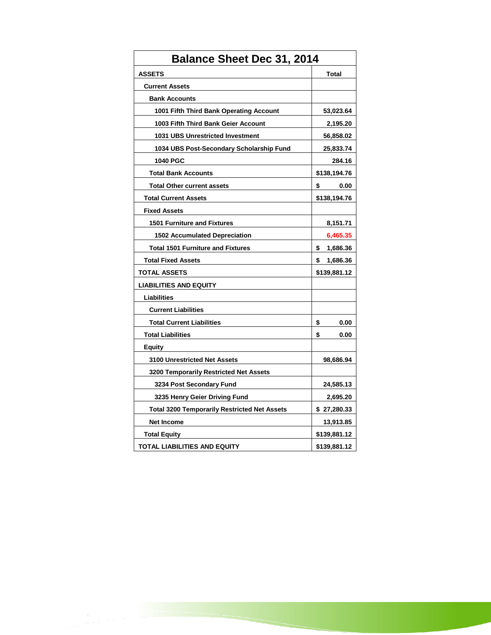| <b>Balance Sheet Dec 31, 2014</b>                   |                |
|-----------------------------------------------------|----------------|
| <b>ASSETS</b>                                       | Total          |
| <b>Current Assets</b>                               |                |
| <b>Bank Accounts</b>                                |                |
| 1001 Fifth Third Bank Operating Account             | 53,023.64      |
| 1003 Fifth Third Bank Geier Account                 | 2,195.20       |
| 1031 UBS Unrestricted Investment                    | 56,858.02      |
| 1034 UBS Post-Secondary Scholarship Fund            | 25,833.74      |
| <b>1040 PGC</b>                                     | 284.16         |
| <b>Total Bank Accounts</b>                          | \$138,194.76   |
| <b>Total Other current assets</b>                   | \$<br>0.00     |
| <b>Total Current Assets</b>                         | \$138,194.76   |
| <b>Fixed Assets</b>                                 |                |
| <b>1501 Furniture and Fixtures</b>                  | 8,151.71       |
| <b>1502 Accumulated Depreciation</b>                | 6,465.35       |
| <b>Total 1501 Furniture and Fixtures</b>            | \$<br>1,686.36 |
| <b>Total Fixed Assets</b>                           | \$<br>1,686.36 |
| <b>TOTAL ASSETS</b>                                 | \$139,881.12   |
| <b>LIABILITIES AND EQUITY</b>                       |                |
| Liabilities                                         |                |
| <b>Current Liabilities</b>                          |                |
| <b>Total Current Liabilities</b>                    | \$<br>0.00     |
| <b>Total Liabilities</b>                            | \$<br>0.00     |
| Equity                                              |                |
| <b>3100 Unrestricted Net Assets</b>                 | 98,686.94      |
| 3200 Temporarily Restricted Net Assets              |                |
| 3234 Post Secondary Fund                            | 24,585.13      |
| 3235 Henry Geier Driving Fund                       | 2,695.20       |
| <b>Total 3200 Temporarily Restricted Net Assets</b> | \$27,280.33    |
| <b>Net Income</b>                                   | 13,913.85      |
| <b>Total Equity</b>                                 | \$139,881.12   |
| TOTAL LIABILITIES AND EQUITY                        | \$139,881.12   |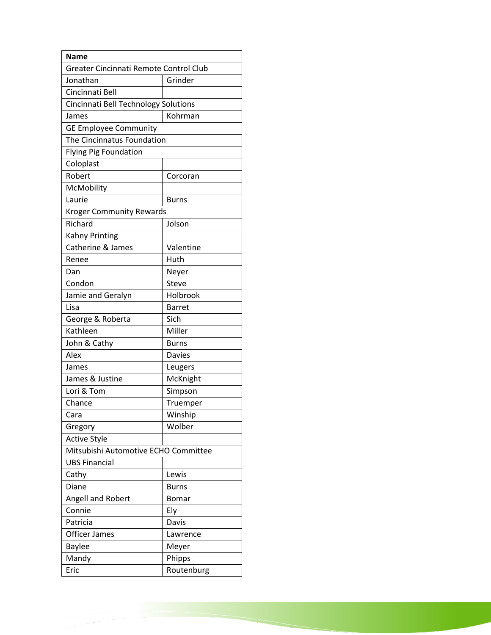| <b>Name</b>                            |               |
|----------------------------------------|---------------|
| Greater Cincinnati Remote Control Club |               |
| Jonathan                               | Grinder       |
| Cincinnati Bell                        |               |
| Cincinnati Bell Technology Solutions   |               |
| James                                  | Kohrman       |
| <b>GE Employee Community</b>           |               |
| The Cincinnatus Foundation             |               |
| <b>Flying Pig Foundation</b>           |               |
| Coloplast                              |               |
| Robert                                 | Corcoran      |
| McMobility                             |               |
| Laurie                                 | Burns         |
| <b>Kroger Community Rewards</b>        |               |
| Richard                                | Jolson        |
| <b>Kahny Printing</b>                  |               |
| Catherine & James                      | Valentine     |
| Renee                                  | Huth          |
| Dan                                    | Neyer         |
| Condon                                 | Steve         |
| Jamie and Geralyn                      | Holbrook      |
| Lisa                                   | <b>Barret</b> |
| George & Roberta                       | Sich          |
| Kathleen                               | Miller        |
| John & Cathy                           | <b>Burns</b>  |
| Alex                                   | <b>Davies</b> |
| James                                  | Leugers       |
| James & Justine                        | McKnight      |
| Lori & Tom                             | Simpson       |
| Chance                                 | Truemper      |
| Cara                                   | Winship       |
| Gregory                                | Wolber        |
| <b>Active Style</b>                    |               |
| Mitsubishi Automotive ECHO Committee   |               |
| <b>UBS Financial</b>                   |               |
| Cathy                                  | Lewis         |
| Diane                                  | <b>Burns</b>  |
| Angell and Robert                      | Bomar         |
| Connie                                 | Ely           |
| Patricia                               | Davis         |
| Officer James                          | Lawrence      |
| <b>Baylee</b>                          | Meyer         |
| Mandy                                  | Phipps        |
| Eric                                   | Routenburg    |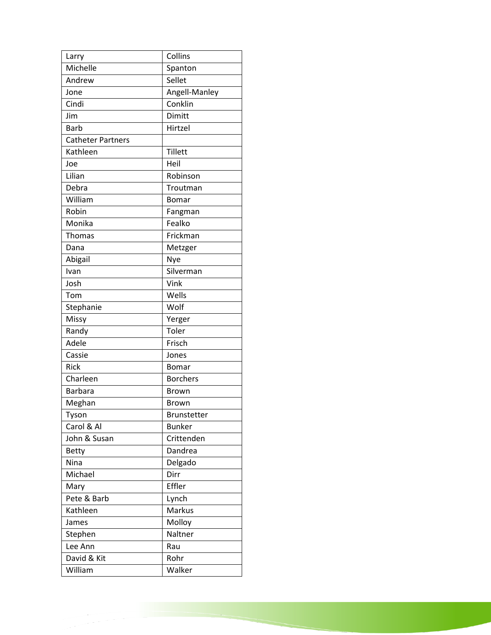| Larry                    | Collins            |
|--------------------------|--------------------|
| Michelle                 | Spanton            |
| Andrew                   | Sellet             |
| Jone                     | Angell-Manley      |
| Cindi                    | Conklin            |
| Jim                      | Dimitt             |
| <b>Barb</b>              | Hirtzel            |
| <b>Catheter Partners</b> |                    |
| Kathleen                 | Tillett            |
| Joe                      | Heil               |
| Lilian                   | Robinson           |
| Debra                    | Troutman           |
| William                  | Bomar              |
| Robin                    | Fangman            |
| Monika                   | Fealko             |
| Thomas                   | Frickman           |
| Dana                     | Metzger            |
| Abigail                  | Nye                |
| Ivan                     | Silverman          |
| Josh                     | Vink               |
| Tom                      | Wells              |
| Stephanie                | Wolf               |
| Missy                    | Yerger             |
| Randy                    | Toler              |
| Adele                    | Frisch             |
| Cassie                   | Jones              |
| Rick                     | Bomar              |
| Charleen                 | <b>Borchers</b>    |
| <b>Barbara</b>           | <b>Brown</b>       |
| Meghan                   | <b>Brown</b>       |
| Tyson                    | <b>Brunstetter</b> |
| Carol & Al               | <b>Bunker</b>      |
| John & Susan             | Crittenden         |
| <b>Betty</b>             | Dandrea            |
| Nina                     | Delgado            |
| Michael                  | Dirr               |
| Mary                     | Effler             |
| Pete & Barb              | Lynch              |
| Kathleen                 | Markus             |
| James                    | Molloy             |
| Stephen                  | Naltner            |
| Lee Ann                  | Rau                |
| David & Kit              | Rohr               |
| William                  | Walker             |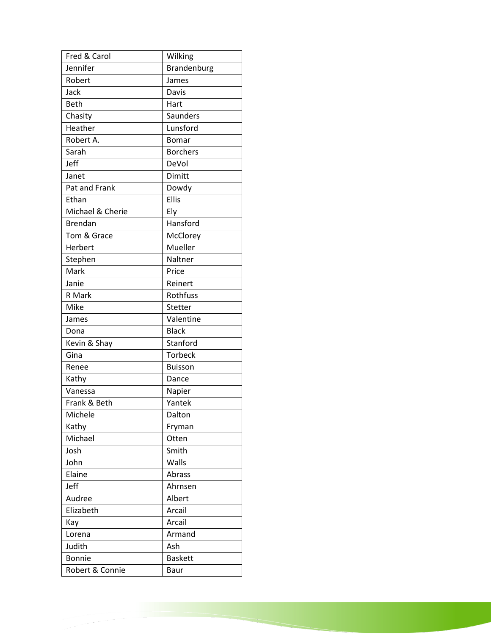| Fred & Carol     | Wilking         |
|------------------|-----------------|
| Jennifer         | Brandenburg     |
| Robert           | James           |
| Jack             | Davis           |
| <b>Beth</b>      | Hart            |
| Chasity          | Saunders        |
| Heather          | Lunsford        |
| Robert A.        | <b>Bomar</b>    |
| Sarah            | <b>Borchers</b> |
| Jeff             | DeVol           |
| Janet            | Dimitt          |
| Pat and Frank    | Dowdy           |
| Ethan            | <b>Ellis</b>    |
| Michael & Cherie | Ely             |
| <b>Brendan</b>   | Hansford        |
| Tom & Grace      | McClorey        |
| Herbert          | Mueller         |
| Stephen          | Naltner         |
| Mark             | Price           |
| Janie            | Reinert         |
| R Mark           | Rothfuss        |
| Mike             | Stetter         |
| James            | Valentine       |
| Dona             | <b>Black</b>    |
| Kevin & Shay     | Stanford        |
| Gina             | <b>Torbeck</b>  |
| Renee            | <b>Buisson</b>  |
| Kathy            | Dance           |
| Vanessa          | Napier          |
| Frank & Beth     | Yantek          |
| Michele          | Dalton          |
| Kathy            | Fryman          |
| Michael          | Otten           |
| Josh             | Smith           |
| John             | Walls           |
| Elaine           | Abrass          |
| Jeff             | Ahrnsen         |
| Audree           | Albert          |
| Elizabeth        | Arcail          |
| Kay              | Arcail          |
| Lorena           | Armand          |
| Judith           | Ash             |
| <b>Bonnie</b>    | <b>Baskett</b>  |
| Robert & Connie  | Baur            |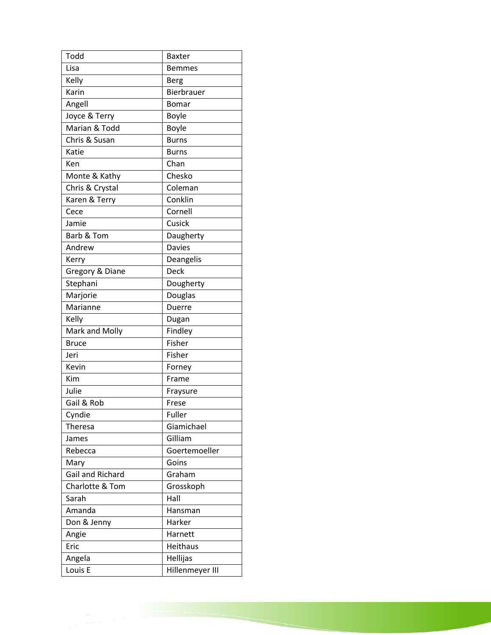| Todd             | <b>Baxter</b>   |
|------------------|-----------------|
| Lisa             | <b>Bemmes</b>   |
| Kelly            | Berg            |
| Karin            | Bierbrauer      |
| Angell           | Bomar           |
| Joyce & Terry    | Boyle           |
| Marian & Todd    | Boyle           |
| Chris & Susan    | <b>Burns</b>    |
| Katie            | Burns           |
| Ken              | Chan            |
| Monte & Kathy    | Chesko          |
| Chris & Crystal  | Coleman         |
| Karen & Terry    | Conklin         |
| Cece             | Cornell         |
| Jamie            | Cusick          |
| Barb & Tom       | Daugherty       |
| Andrew           | <b>Davies</b>   |
| Kerry            | Deangelis       |
| Gregory & Diane  | <b>Deck</b>     |
| Stephani         | Dougherty       |
| Marjorie         | Douglas         |
| Marianne         | <b>Duerre</b>   |
| Kelly            | Dugan           |
| Mark and Molly   | Findley         |
| <b>Bruce</b>     | Fisher          |
| Jeri             | Fisher          |
| Kevin            | Forney          |
| Kim              | Frame           |
| Julie            | Fraysure        |
| Gail & Rob       | Frese           |
| Cyndie           | Fuller          |
| Theresa          | Giamichael      |
| James            | Gilliam         |
| Rebecca          | Goertemoeller   |
| Mary             | Goins           |
| Gail and Richard | Graham          |
| Charlotte & Tom  | Grosskoph       |
| Sarah            | Hall            |
| Amanda           | Hansman         |
| Don & Jenny      | Harker          |
| Angie            | Harnett         |
| Eric             | <b>Heithaus</b> |
| Angela           | Hellijas        |
| Louis E          | Hillenmeyer III |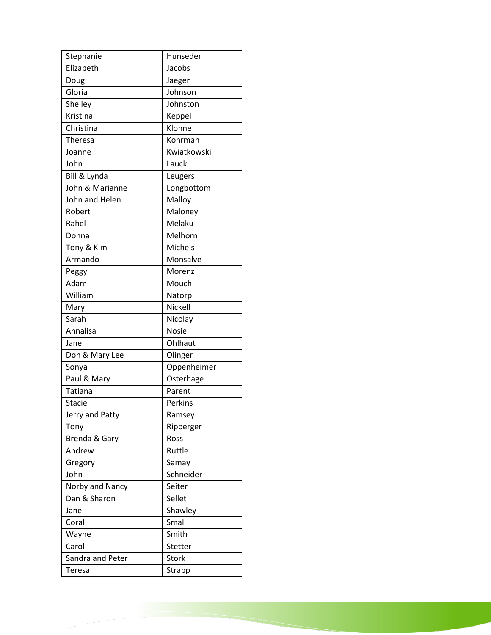| Stephanie        | Hunseder       |
|------------------|----------------|
| Elizabeth        | Jacobs         |
| Doug             | Jaeger         |
| Gloria           | Johnson        |
| Shelley          | Johnston       |
| Kristina         | Keppel         |
| Christina        | Klonne         |
| Theresa          | Kohrman        |
| Joanne           | Kwiatkowski    |
| John             | Lauck          |
| Bill & Lynda     | Leugers        |
| John & Marianne  | Longbottom     |
| John and Helen   | Malloy         |
| Robert           | Maloney        |
| Rahel            | Melaku         |
| Donna            | Melhorn        |
| Tony & Kim       | <b>Michels</b> |
| Armando          | Monsalve       |
| Peggy            | Morenz         |
| Adam             | Mouch          |
| William          | Natorp         |
| Mary             | Nickell        |
| Sarah            | Nicolay        |
| Annalisa         | <b>Nosie</b>   |
| Jane             | Ohlhaut        |
| Don & Mary Lee   | Olinger        |
| Sonya            | Oppenheimer    |
| Paul & Mary      | Osterhage      |
| <b>Tatiana</b>   | Parent         |
| <b>Stacie</b>    | Perkins        |
| Jerry and Patty  | Ramsey         |
| Tony             | Ripperger      |
| Brenda & Gary    | Ross           |
| Andrew           | Ruttle         |
| Gregory          | Samay          |
| John             | Schneider      |
| Norby and Nancy  | Seiter         |
| Dan & Sharon     | Sellet         |
| Jane             | Shawley        |
| Coral            | Small          |
| Wayne            | Smith          |
| Carol            | Stetter        |
| Sandra and Peter | <b>Stork</b>   |
| <b>Teresa</b>    | Strapp         |